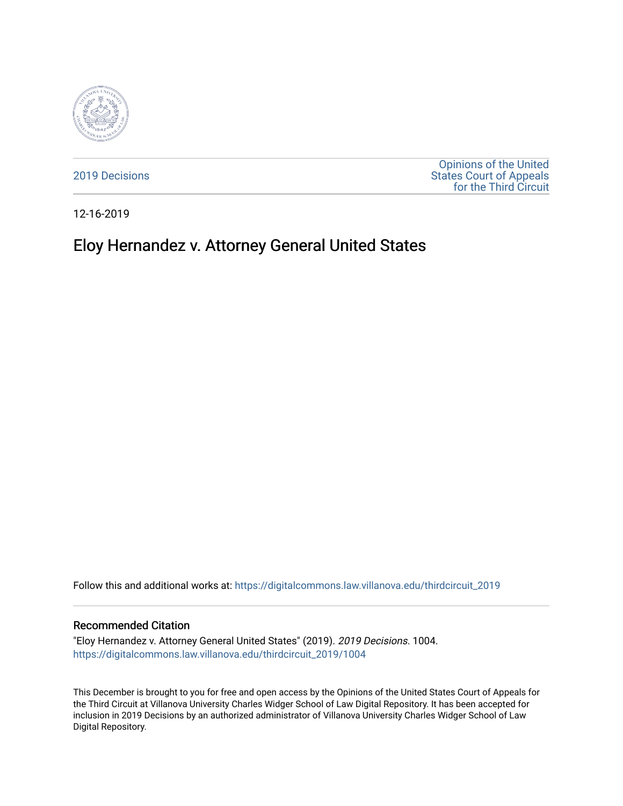

[2019 Decisions](https://digitalcommons.law.villanova.edu/thirdcircuit_2019)

[Opinions of the United](https://digitalcommons.law.villanova.edu/thirdcircuit)  [States Court of Appeals](https://digitalcommons.law.villanova.edu/thirdcircuit)  [for the Third Circuit](https://digitalcommons.law.villanova.edu/thirdcircuit) 

12-16-2019

# Eloy Hernandez v. Attorney General United States

Follow this and additional works at: [https://digitalcommons.law.villanova.edu/thirdcircuit\\_2019](https://digitalcommons.law.villanova.edu/thirdcircuit_2019?utm_source=digitalcommons.law.villanova.edu%2Fthirdcircuit_2019%2F1004&utm_medium=PDF&utm_campaign=PDFCoverPages) 

#### Recommended Citation

"Eloy Hernandez v. Attorney General United States" (2019). 2019 Decisions. 1004. [https://digitalcommons.law.villanova.edu/thirdcircuit\\_2019/1004](https://digitalcommons.law.villanova.edu/thirdcircuit_2019/1004?utm_source=digitalcommons.law.villanova.edu%2Fthirdcircuit_2019%2F1004&utm_medium=PDF&utm_campaign=PDFCoverPages) 

This December is brought to you for free and open access by the Opinions of the United States Court of Appeals for the Third Circuit at Villanova University Charles Widger School of Law Digital Repository. It has been accepted for inclusion in 2019 Decisions by an authorized administrator of Villanova University Charles Widger School of Law Digital Repository.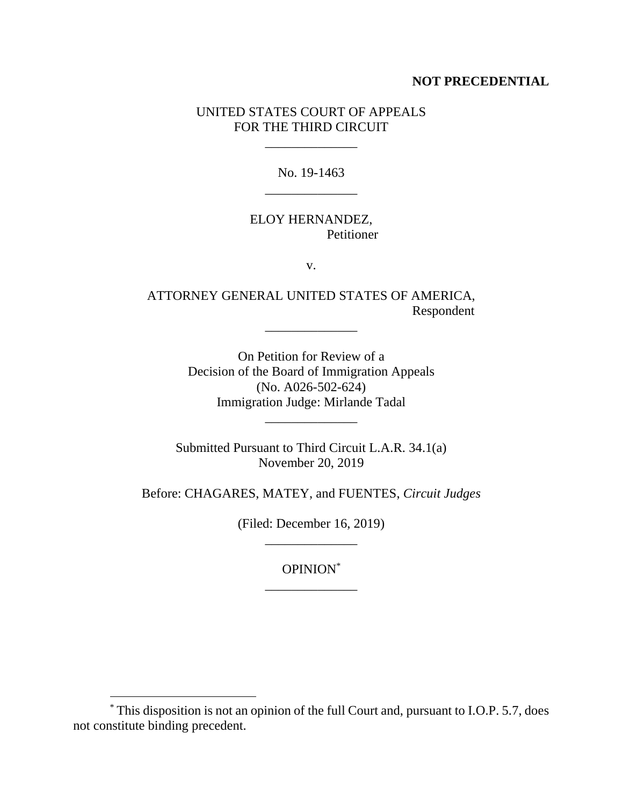### **NOT PRECEDENTIAL**

# UNITED STATES COURT OF APPEALS FOR THE THIRD CIRCUIT

\_\_\_\_\_\_\_\_\_\_\_\_\_\_

No. 19-1463 \_\_\_\_\_\_\_\_\_\_\_\_\_\_

# ELOY HERNANDEZ, Petitioner

v.

# ATTORNEY GENERAL UNITED STATES OF AMERICA, Respondent

\_\_\_\_\_\_\_\_\_\_\_\_\_\_

On Petition for Review of a Decision of the Board of Immigration Appeals (No. A026-502-624) Immigration Judge: Mirlande Tadal

\_\_\_\_\_\_\_\_\_\_\_\_\_\_

Submitted Pursuant to Third Circuit L.A.R. 34.1(a) November 20, 2019

Before: CHAGARES, MATEY, and FUENTES, *Circuit Judges*

(Filed: December 16, 2019) \_\_\_\_\_\_\_\_\_\_\_\_\_\_

> OPINION\* \_\_\_\_\_\_\_\_\_\_\_\_\_\_

 $\overline{a}$ 

<sup>\*</sup> This disposition is not an opinion of the full Court and, pursuant to I.O.P. 5.7, does not constitute binding precedent.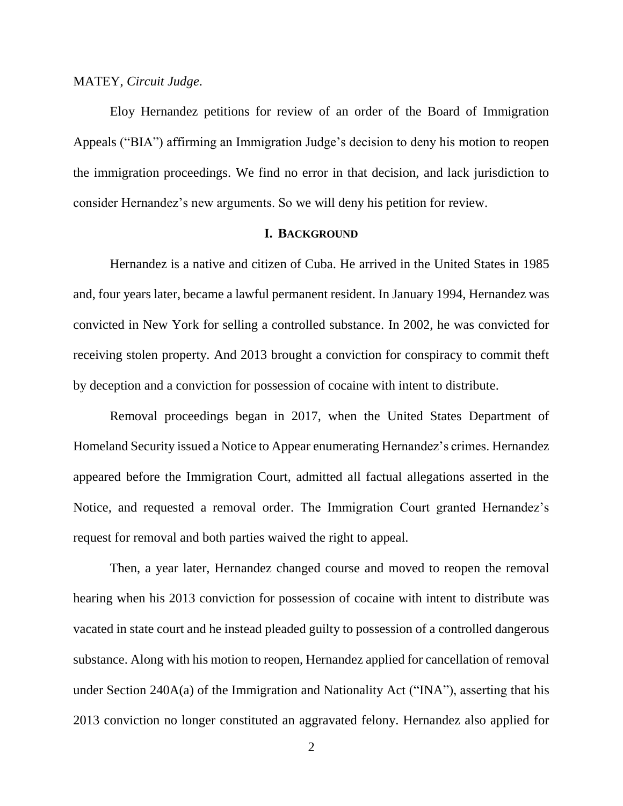#### MATEY, *Circuit Judge*.

Eloy Hernandez petitions for review of an order of the Board of Immigration Appeals ("BIA") affirming an Immigration Judge's decision to deny his motion to reopen the immigration proceedings. We find no error in that decision, and lack jurisdiction to consider Hernandez's new arguments. So we will deny his petition for review.

#### **I. BACKGROUND**

Hernandez is a native and citizen of Cuba. He arrived in the United States in 1985 and, four years later, became a lawful permanent resident. In January 1994, Hernandez was convicted in New York for selling a controlled substance. In 2002, he was convicted for receiving stolen property. And 2013 brought a conviction for conspiracy to commit theft by deception and a conviction for possession of cocaine with intent to distribute.

Removal proceedings began in 2017, when the United States Department of Homeland Security issued a Notice to Appear enumerating Hernandez's crimes. Hernandez appeared before the Immigration Court, admitted all factual allegations asserted in the Notice, and requested a removal order. The Immigration Court granted Hernandez's request for removal and both parties waived the right to appeal.

Then, a year later, Hernandez changed course and moved to reopen the removal hearing when his 2013 conviction for possession of cocaine with intent to distribute was vacated in state court and he instead pleaded guilty to possession of a controlled dangerous substance. Along with his motion to reopen, Hernandez applied for cancellation of removal under Section 240A(a) of the Immigration and Nationality Act ("INA"), asserting that his 2013 conviction no longer constituted an aggravated felony. Hernandez also applied for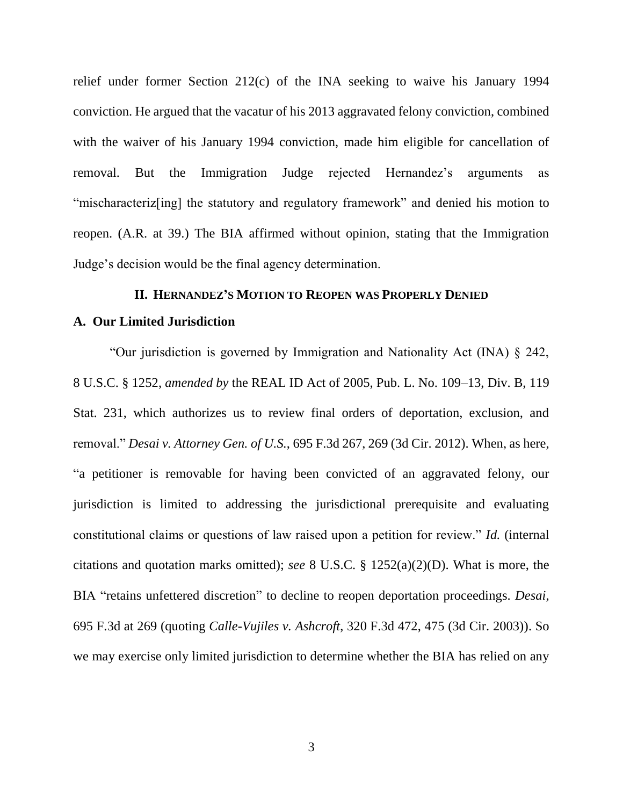relief under former Section 212(c) of the INA seeking to waive his January 1994 conviction. He argued that the vacatur of his 2013 aggravated felony conviction, combined with the waiver of his January 1994 conviction, made him eligible for cancellation of removal. But the Immigration Judge rejected Hernandez's arguments as "mischaracteriz[ing] the statutory and regulatory framework" and denied his motion to reopen. (A.R. at 39.) The BIA affirmed without opinion, stating that the Immigration Judge's decision would be the final agency determination.

#### **II. HERNANDEZ'S MOTION TO REOPEN WAS PROPERLY DENIED**

#### **A. Our Limited Jurisdiction**

"Our jurisdiction is governed by Immigration and Nationality Act (INA) § 242, 8 U.S.C. § 1252, *amended by* the REAL ID Act of 2005, Pub. L. No. 109–13, Div. B, 119 Stat. 231, which authorizes us to review final orders of deportation, exclusion, and removal." *Desai v. Attorney Gen. of U.S.*, 695 F.3d 267, 269 (3d Cir. 2012). When, as here, "a petitioner is removable for having been convicted of an aggravated felony, our jurisdiction is limited to addressing the jurisdictional prerequisite and evaluating constitutional claims or questions of law raised upon a petition for review." *Id.* (internal citations and quotation marks omitted); *see* 8 U.S.C. § 1252(a)(2)(D). What is more, the BIA "retains unfettered discretion" to decline to reopen deportation proceedings. *Desai*, 695 F.3d at 269 (quoting *Calle-Vujiles v. Ashcroft*, 320 F.3d 472, 475 (3d Cir. 2003)). So we may exercise only limited jurisdiction to determine whether the BIA has relied on any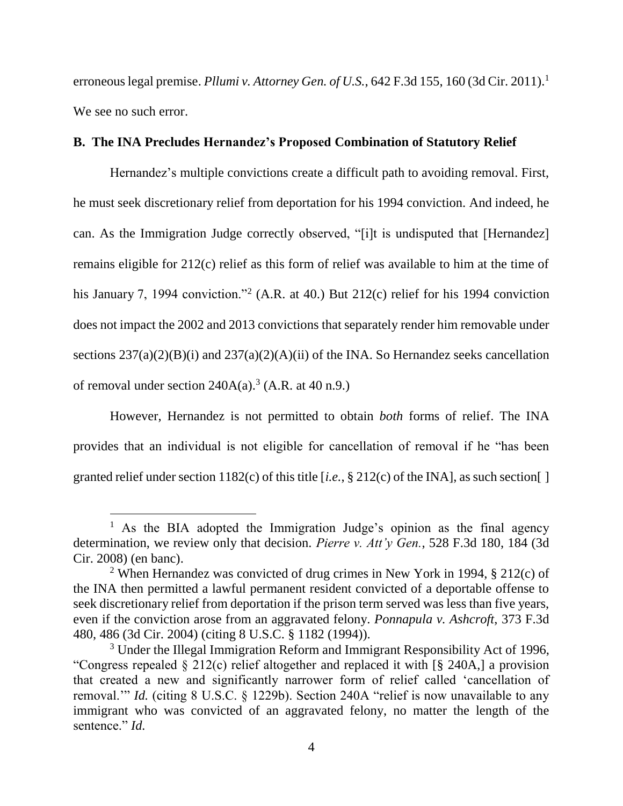erroneous legal premise. *Pllumi v. Attorney Gen. of U.S.*, 642 F.3d 155, 160 (3d Cir. 2011).<sup>1</sup> We see no such error.

## **B. The INA Precludes Hernandez's Proposed Combination of Statutory Relief**

Hernandez's multiple convictions create a difficult path to avoiding removal. First, he must seek discretionary relief from deportation for his 1994 conviction. And indeed, he can. As the Immigration Judge correctly observed, "[i]t is undisputed that [Hernandez] remains eligible for 212(c) relief as this form of relief was available to him at the time of his January 7, 1994 conviction."<sup>2</sup> (A.R. at 40.) But 212(c) relief for his 1994 conviction does not impact the 2002 and 2013 convictions that separately render him removable under sections  $237(a)(2)(B)(i)$  and  $237(a)(2)(A)(ii)$  of the INA. So Hernandez seeks cancellation of removal under section  $240A(a)$ .<sup>3</sup> (A.R. at 40 n.9.)

However, Hernandez is not permitted to obtain *both* forms of relief. The INA provides that an individual is not eligible for cancellation of removal if he "has been granted relief under section 1182(c) of this title [*i.e.*, § 212(c) of the INA], as such section[ ]

 $\overline{a}$ 

<sup>&</sup>lt;sup>1</sup> As the BIA adopted the Immigration Judge's opinion as the final agency determination, we review only that decision. *Pierre v. Att'y Gen.*, 528 F.3d 180, 184 (3d Cir. 2008) (en banc).

<sup>&</sup>lt;sup>2</sup> When Hernandez was convicted of drug crimes in New York in 1994,  $\S$  212(c) of the INA then permitted a lawful permanent resident convicted of a deportable offense to seek discretionary relief from deportation if the prison term served was less than five years, even if the conviction arose from an aggravated felony. *Ponnapula v. Ashcroft*, 373 F.3d 480, 486 (3d Cir. 2004) (citing 8 U.S.C. § 1182 (1994)).

 $3$  Under the Illegal Immigration Reform and Immigrant Responsibility Act of 1996, "Congress repealed § 212(c) relief altogether and replaced it with [§ 240A,] a provision that created a new and significantly narrower form of relief called 'cancellation of removal.'" *Id.* (citing 8 U.S.C. § 1229b). Section 240A "relief is now unavailable to any immigrant who was convicted of an aggravated felony, no matter the length of the sentence." *Id.*